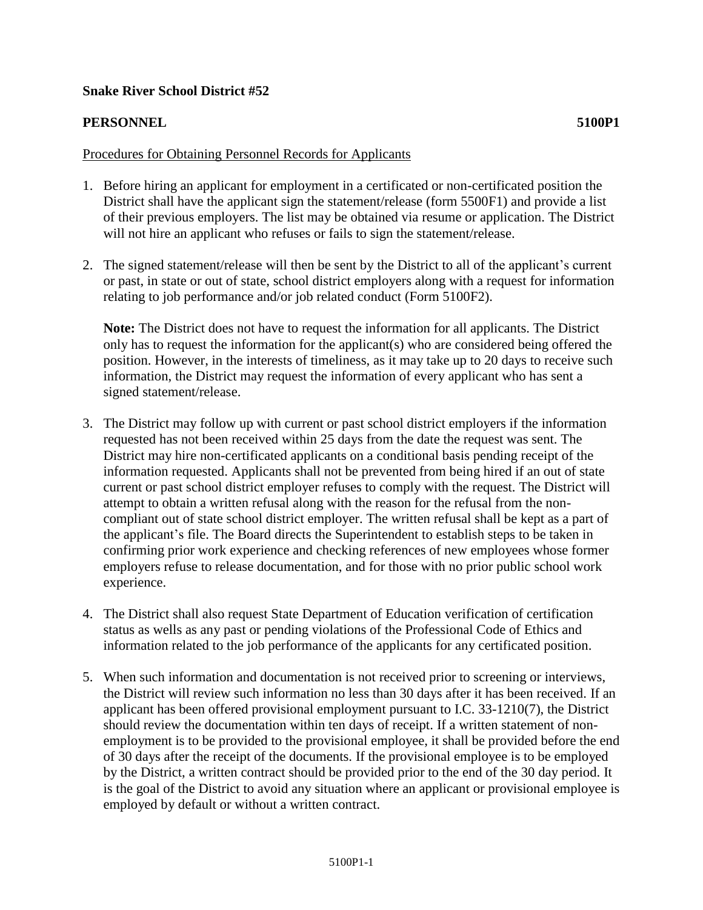## **Snake River School District #52**

## **PERSONNEL 5100P1**

## Procedures for Obtaining Personnel Records for Applicants

- 1. Before hiring an applicant for employment in a certificated or non-certificated position the District shall have the applicant sign the statement/release (form 5500F1) and provide a list of their previous employers. The list may be obtained via resume or application. The District will not hire an applicant who refuses or fails to sign the statement/release.
- 2. The signed statement/release will then be sent by the District to all of the applicant's current or past, in state or out of state, school district employers along with a request for information relating to job performance and/or job related conduct (Form 5100F2).

**Note:** The District does not have to request the information for all applicants. The District only has to request the information for the applicant(s) who are considered being offered the position. However, in the interests of timeliness, as it may take up to 20 days to receive such information, the District may request the information of every applicant who has sent a signed statement/release.

- 3. The District may follow up with current or past school district employers if the information requested has not been received within 25 days from the date the request was sent. The District may hire non-certificated applicants on a conditional basis pending receipt of the information requested. Applicants shall not be prevented from being hired if an out of state current or past school district employer refuses to comply with the request. The District will attempt to obtain a written refusal along with the reason for the refusal from the noncompliant out of state school district employer. The written refusal shall be kept as a part of the applicant's file. The Board directs the Superintendent to establish steps to be taken in confirming prior work experience and checking references of new employees whose former employers refuse to release documentation, and for those with no prior public school work experience.
- 4. The District shall also request State Department of Education verification of certification status as wells as any past or pending violations of the Professional Code of Ethics and information related to the job performance of the applicants for any certificated position.
- 5. When such information and documentation is not received prior to screening or interviews, the District will review such information no less than 30 days after it has been received. If an applicant has been offered provisional employment pursuant to I.C. 33-1210(7), the District should review the documentation within ten days of receipt. If a written statement of nonemployment is to be provided to the provisional employee, it shall be provided before the end of 30 days after the receipt of the documents. If the provisional employee is to be employed by the District, a written contract should be provided prior to the end of the 30 day period. It is the goal of the District to avoid any situation where an applicant or provisional employee is employed by default or without a written contract.